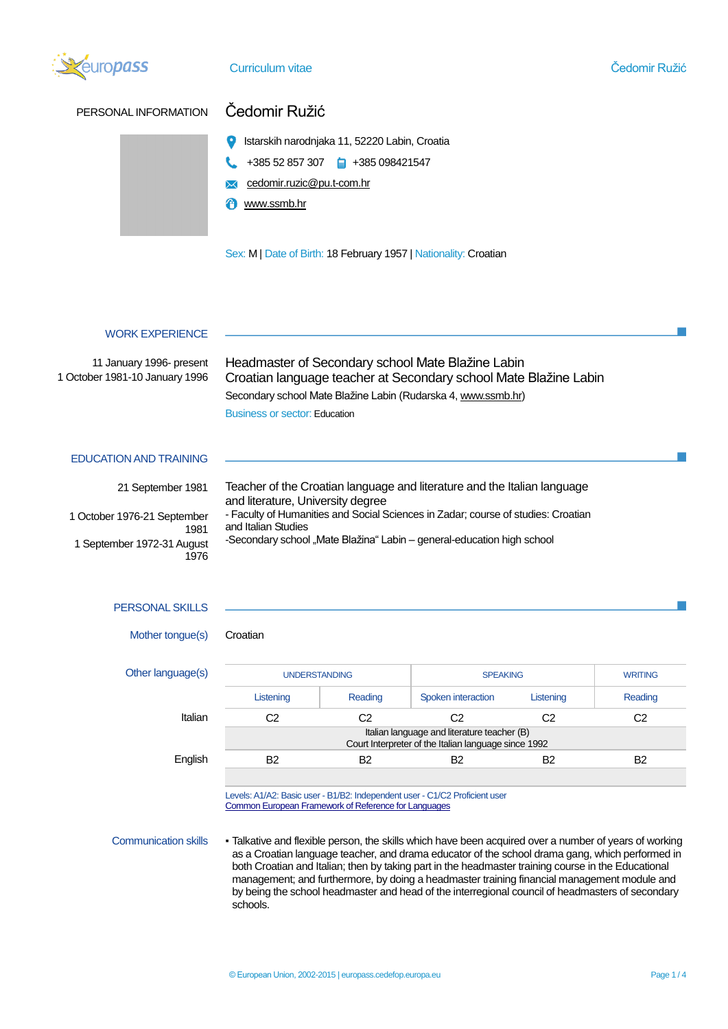

Curriculum vitae Čedomir Ružić

| PERSONAL INFORMATION                                       | Čedomir Ružić                                                                                                         |
|------------------------------------------------------------|-----------------------------------------------------------------------------------------------------------------------|
|                                                            | Istarskih narodnjaka 11, 52220 Labin, Croatia                                                                         |
|                                                            | $+38552857307$ $\qquad \qquad \Box +385098421547$                                                                     |
|                                                            | cedomir.ruzic@pu.t-com.hr                                                                                             |
|                                                            | www.ssmb.hr<br>Ð                                                                                                      |
|                                                            | Sex: M   Date of Birth: 18 February 1957   Nationality: Croatian                                                      |
|                                                            |                                                                                                                       |
| <b>WORK EXPERIENCE</b>                                     |                                                                                                                       |
| 11 January 1996- present<br>1 October 1981-10 January 1996 | Headmaster of Secondary school Mate Blažine Labin<br>Croatian language teacher at Secondary school Mate Blažine Labin |
|                                                            | Secondary school Mate Blažine Labin (Rudarska 4, www.ssmb.hr)                                                         |
|                                                            | <b>Business or sector: Education</b>                                                                                  |
| <b>EDUCATION AND TRAINING</b>                              |                                                                                                                       |
| 21 September 1981                                          | Teacher of the Croatian language and literature and the Italian language<br>and literature, University degree         |
|                                                            | Faculty of Humanities and Social Sciences in Zadar: course of studies: Croatian                                       |

1 October 1976-21 September 1981 1 September 1972-31 August 1976

- Faculty of Humanities and Social Sciences in Zadar; course of studies: Croatian and Italian Studies -Secondary school "Mate Blažina" Labin - general-education high school

## PERSONAL SKILLS

Mother tongue(s) Croatian

Other language

| uage(s) | <b>UNDERSTANDING</b>                                                                                |         | <b>SPEAKING</b>    | <b>WRITING</b> |                |  |  |
|---------|-----------------------------------------------------------------------------------------------------|---------|--------------------|----------------|----------------|--|--|
|         | Listening                                                                                           | Reading | Spoken interaction | Listening      | Reading        |  |  |
| Italian | C2                                                                                                  | C2      | C2                 | C2             | C2             |  |  |
|         | Italian language and literature teacher (B)<br>Court Interpreter of the Italian language since 1992 |         |                    |                |                |  |  |
| English | B2                                                                                                  | B2      | B2                 | B <sub>2</sub> | B <sub>2</sub> |  |  |
|         |                                                                                                     |         |                    |                |                |  |  |

Levels: A1/A2: Basic user - B1/B2: Independent user - C1/C2 Proficient user [Common European Framework of Reference for Languages](http://europass.cedefop.europa.eu/en/resources/european-language-levels-cefr)

Communication skills • Talkative and flexible person, the skills which have been acquired over a number of years of working as a Croatian language teacher, and drama educator of the school drama gang, which performed in both Croatian and Italian; then by taking part in the headmaster training course in the Educational management; and furthermore, by doing a headmaster training financial management module and by being the school headmaster and head of the interregional council of headmasters of secondary schools.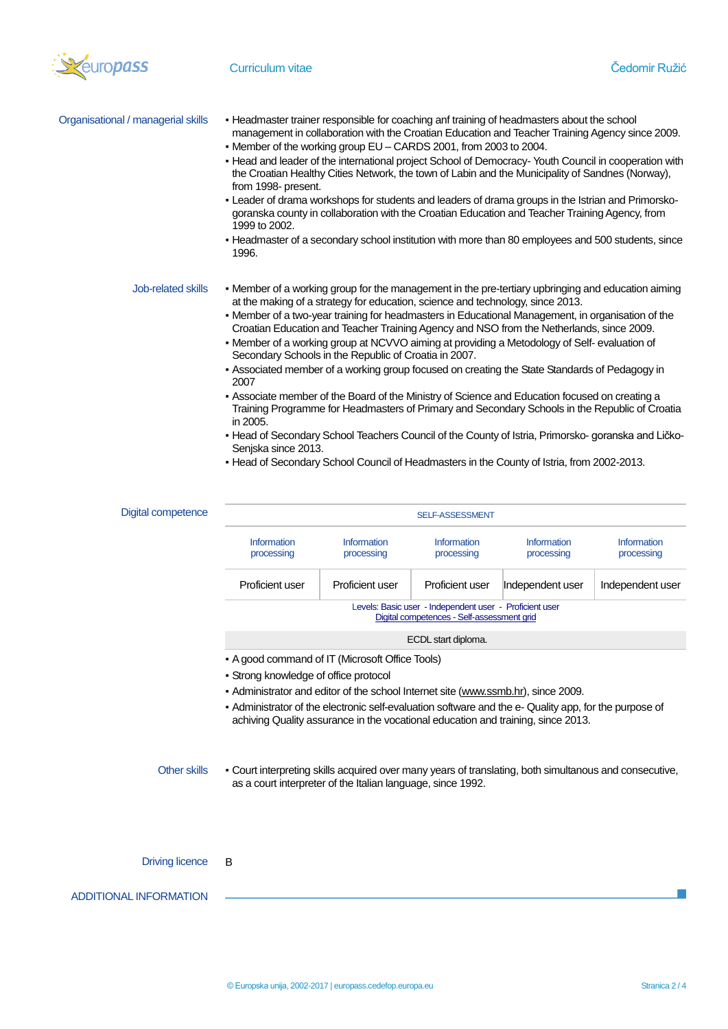

Organisational / managerial skills • Headmaster trainer responsible for coaching anf training of headmasters about the school

|                               |                                                                                                                                                                                                                                 | management in collaboration with the Croatian Education and Teacher Training Agency since 2009. |                                                                                                       |                                  |                           |  |
|-------------------------------|---------------------------------------------------------------------------------------------------------------------------------------------------------------------------------------------------------------------------------|-------------------------------------------------------------------------------------------------|-------------------------------------------------------------------------------------------------------|----------------------------------|---------------------------|--|
|                               | - Member of the working group EU - CARDS 2001, from 2003 to 2004.                                                                                                                                                               |                                                                                                 |                                                                                                       |                                  |                           |  |
|                               | - Head and leader of the international project School of Democracy-Youth Council in cooperation with<br>the Croatian Healthy Cities Network, the town of Labin and the Municipality of Sandnes (Norway),<br>from 1998- present. |                                                                                                 |                                                                                                       |                                  |                           |  |
|                               | - Leader of drama workshops for students and leaders of drama groups in the Istrian and Primorsko-<br>goranska county in collaboration with the Croatian Education and Teacher Training Agency, from<br>1999 to 2002.           |                                                                                                 |                                                                                                       |                                  |                           |  |
|                               | - Headmaster of a secondary school institution with more than 80 employees and 500 students, since<br>1996.                                                                                                                     |                                                                                                 |                                                                                                       |                                  |                           |  |
| Job-related skills            | • Member of a working group for the management in the pre-tertiary upbringing and education aiming                                                                                                                              | at the making of a strategy for education, science and technology, since 2013.                  |                                                                                                       |                                  |                           |  |
|                               | • Member of a two-year training for headmasters in Educational Management, in organisation of the<br>- Member of a working group at NCVVO aiming at providing a Metodology of Self-evaluation of                                | Croatian Education and Teacher Training Agency and NSO from the Netherlands, since 2009.        |                                                                                                       |                                  |                           |  |
|                               | - Associated member of a working group focused on creating the State Standards of Pedagogy in<br>2007                                                                                                                           | Secondary Schools in the Republic of Croatia in 2007.                                           |                                                                                                       |                                  |                           |  |
|                               | - Associate member of the Board of the Ministry of Science and Education focused on creating a<br>in 2005.                                                                                                                      | Training Programme for Headmasters of Primary and Secondary Schools in the Republic of Croatia  |                                                                                                       |                                  |                           |  |
|                               | - Head of Secondary School Teachers Council of the County of Istria, Primorsko-goranska and Ličko-<br>Senjska since 2013.                                                                                                       |                                                                                                 |                                                                                                       |                                  |                           |  |
|                               | - Head of Secondary School Council of Headmasters in the County of Istria, from 2002-2013.                                                                                                                                      |                                                                                                 |                                                                                                       |                                  |                           |  |
| Digital competence            | SELF-ASSESSMENT                                                                                                                                                                                                                 |                                                                                                 |                                                                                                       |                                  |                           |  |
|                               | Information<br>processing                                                                                                                                                                                                       | Information<br>processing                                                                       | Information<br>processing                                                                             | <b>Information</b><br>processing | Information<br>processing |  |
|                               | Proficient user                                                                                                                                                                                                                 | Proficient user                                                                                 | Proficient user                                                                                       | Independent user                 | Independent user          |  |
|                               |                                                                                                                                                                                                                                 |                                                                                                 | Levels: Basic user - Independent user - Proficient user<br>Digital competences - Self-assessment grid |                                  |                           |  |
| ECDL start diploma.           |                                                                                                                                                                                                                                 |                                                                                                 |                                                                                                       |                                  |                           |  |
|                               | • A good command of IT (Microsoft Office Tools)                                                                                                                                                                                 |                                                                                                 |                                                                                                       |                                  |                           |  |
|                               | - Strong knowledge of office protocol                                                                                                                                                                                           |                                                                                                 |                                                                                                       |                                  |                           |  |
|                               | - Administrator and editor of the school Internet site (www.ssmb.hr), since 2009.                                                                                                                                               |                                                                                                 |                                                                                                       |                                  |                           |  |
|                               | - Administrator of the electronic self-evaluation software and the e- Quality app, for the purpose of                                                                                                                           | achiving Quality assurance in the vocational education and training, since 2013.                |                                                                                                       |                                  |                           |  |
| <b>Other skills</b>           | - Court interpreting skills acquired over many years of translating, both simultanous and consecutive,                                                                                                                          | as a court interpreter of the Italian language, since 1992.                                     |                                                                                                       |                                  |                           |  |
|                               |                                                                                                                                                                                                                                 |                                                                                                 |                                                                                                       |                                  |                           |  |
| <b>Driving licence</b>        | B                                                                                                                                                                                                                               |                                                                                                 |                                                                                                       |                                  |                           |  |
| <b>ADDITIONAL INFORMATION</b> |                                                                                                                                                                                                                                 |                                                                                                 |                                                                                                       |                                  |                           |  |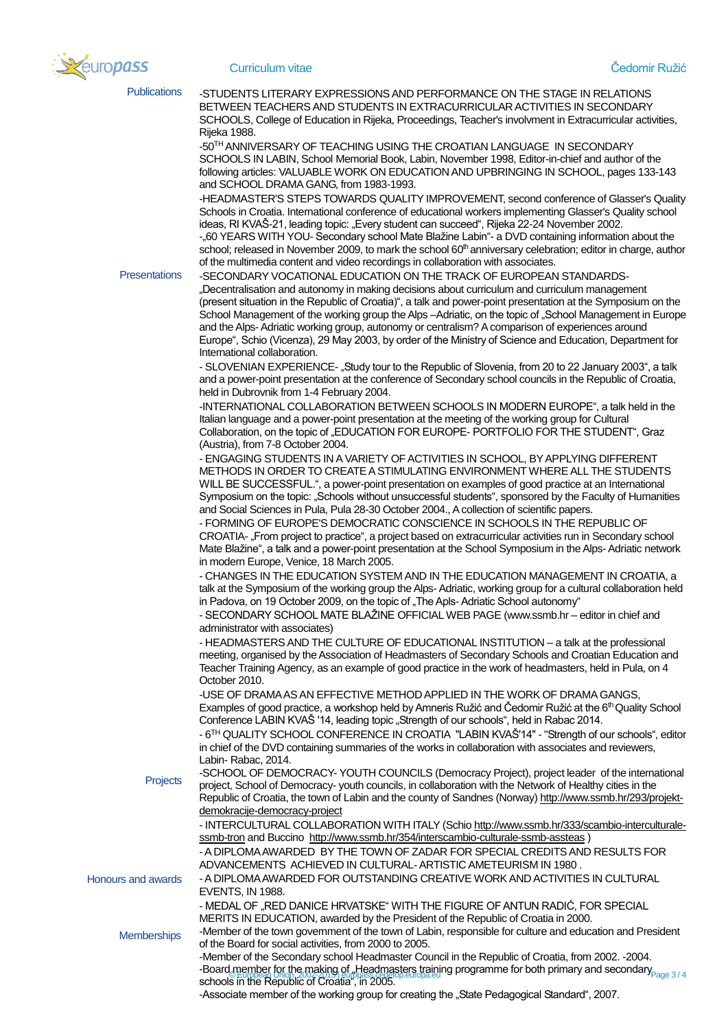

## Curriculum vitae Čedomir Ružić

| <b>Publications</b>       | -STUDENTS LITERARY EXPRESSIONS AND PERFORMANCE ON THE STAGE IN RELATIONS<br>BETWEEN TEACHERS AND STUDENTS IN EXTRACURRICULAR ACTIVITIES IN SECONDARY                                                                            |
|---------------------------|---------------------------------------------------------------------------------------------------------------------------------------------------------------------------------------------------------------------------------|
|                           | SCHOOLS, College of Education in Rijeka, Proceedings, Teacher's involvment in Extracurricular activities,<br>Rijeka 1988.                                                                                                       |
|                           | -50TH ANNIVERSARY OF TEACHING USING THE CROATIAN LANGUAGE IN SECONDARY                                                                                                                                                          |
|                           | SCHOOLS IN LABIN, School Memorial Book, Labin, November 1998, Editor-in-chief and author of the                                                                                                                                 |
|                           | following articles: VALUABLE WORK ON EDUCATION AND UPBRINGING IN SCHOOL, pages 133-143<br>and SCHOOL DRAMA GANG, from 1983-1993.                                                                                                |
|                           | -HEADMASTER'S STEPS TOWARDS QUALITY IMPROVEMENT, second conference of Glasser's Quality                                                                                                                                         |
|                           | Schools in Croatia. International conference of educational workers implementing Glasser's Quality school                                                                                                                       |
|                           | ideas, RI KVAŠ-21, leading topic: "Every student can succeed", Rijeka 22-24 November 2002.<br>"60 YEARS WITH YOU- Secondary school Mate Blažine Labin"- a DVD containing information about the                                  |
|                           | school; released in November 2009, to mark the school 60 <sup>th</sup> anniversary celebration; editor in charge, author                                                                                                        |
|                           | of the multimedia content and video recordings in collaboration with associates.                                                                                                                                                |
| <b>Presentations</b>      | -SECONDARY VOCATIONAL EDUCATION ON THE TRACK OF EUROPEAN STANDARDS-                                                                                                                                                             |
|                           | "Decentralisation and autonomy in making decisions about curriculum and curriculum management<br>(present situation in the Republic of Croatia)", a talk and power-point presentation at the Symposium on the                   |
|                           | School Management of the working group the Alps -Adriatic, on the topic of "School Management in Europe                                                                                                                         |
|                           | and the Alps-Adriatic working group, autonomy or centralism? A comparison of experiences around<br>Europe", Schio (Vicenza), 29 May 2003, by order of the Ministry of Science and Education, Department for                     |
|                           | International collaboration.                                                                                                                                                                                                    |
|                           | - SLOVENIAN EXPERIENCE- "Study tour to the Republic of Slovenia, from 20 to 22 January 2003", a talk                                                                                                                            |
|                           | and a power-point presentation at the conference of Secondary school councils in the Republic of Croatia,<br>held in Dubrovnik from 1-4 February 2004.                                                                          |
|                           | -INTERNATIONAL COLLABORATION BETWEEN SCHOOLS IN MODERN EUROPE", a talk held in the                                                                                                                                              |
|                           | Italian language and a power-point presentation at the meeting of the working group for Cultural<br>Collaboration, on the topic of "EDUCATION FOR EUROPE- PORTFOLIO FOR THE STUDENT", Graz<br>(Austria), from 7-8 October 2004. |
|                           | - ENGAGING STUDENTS IN A VARIETY OF ACTIVITIES IN SCHOOL, BY APPLYING DIFFERENT                                                                                                                                                 |
|                           | METHODS IN ORDER TO CREATE A STIMULATING ENVIRONMENT WHERE ALL THE STUDENTS                                                                                                                                                     |
|                           | WILL BE SUCCESSFUL.", a power-point presentation on examples of good practice at an International<br>Symposium on the topic: "Schools without unsuccessful students", sponsored by the Faculty of Humanities                    |
|                           | and Social Sciences in Pula, Pula 28-30 October 2004., A collection of scientific papers.                                                                                                                                       |
|                           | - FORMING OF EUROPE'S DEMOCRATIC CONSCIENCE IN SCHOOLS IN THE REPUBLIC OF                                                                                                                                                       |
|                           | CROATIA- "From project to practice", a project based on extracurricular activities run in Secondary school<br>Mate Blažine", a talk and a power-point presentation at the School Symposium in the Alps-Adriatic network         |
|                           | in modern Europe, Venice, 18 March 2005.                                                                                                                                                                                        |
|                           | - CHANGES IN THE EDUCATION SYSTEM AND IN THE EDUCATION MANAGEMENT IN CROATIA, a                                                                                                                                                 |
|                           | talk at the Symposium of the working group the Alps-Adriatic, working group for a cultural collaboration held<br>in Padova, on 19 October 2009, on the topic of "The Apls-Adriatic School autonomy"                             |
|                           | - SECONDARY SCHOOL MATE BLAŽINE OFFICIAL WEB PAGE (www.ssmb.hr - editor in chief and<br>administrator with associates)                                                                                                          |
|                           | - HEADMASTERS AND THE CULTURE OF EDUCATIONAL INSTITUTION - a talk at the professional                                                                                                                                           |
|                           | meeting, organised by the Association of Headmasters of Secondary Schools and Croatian Education and                                                                                                                            |
|                           | Teacher Training Agency, as an example of good practice in the work of headmasters, held in Pula, on 4<br>October 2010.                                                                                                         |
|                           | -USE OF DRAMA AS AN EFFECTIVE METHOD APPLIED IN THE WORK OF DRAMA GANGS,<br>Examples of good practice, a workshop held by Amneris Ružić and Čedomir Ružić at the 6 <sup>th</sup> Quality School                                 |
|                           | Conference LABIN KVAŠ '14, leading topic "Strength of our schools", held in Rabac 2014.                                                                                                                                         |
|                           | - 6TH QUALITY SCHOOL CONFERENCE IN CROATIA "LABIN KVAŠ'14" - "Strength of our schools", editor                                                                                                                                  |
|                           | in chief of the DVD containing summaries of the works in collaboration with associates and reviewers,<br>Labin-Rabac, 2014.                                                                                                     |
|                           | -SCHOOL OF DEMOCRACY-YOUTH COUNCILS (Democracy Project), project leader of the international                                                                                                                                    |
| Projects                  | project, School of Democracy-youth councils, in collaboration with the Network of Healthy cities in the                                                                                                                         |
|                           | Republic of Croatia, the town of Labin and the county of Sandnes (Norway) http://www.ssmb.hr/293/projekt-<br>demokracije-democracy-project                                                                                      |
|                           | - INTERCULTURAL COLLABORATION WITH ITALY (Schio http://www.ssmb.hr/333/scambio-interculturale-                                                                                                                                  |
|                           | ssmb-tron and Buccino http://www.ssmb.hr/354/interscambio-culturale-ssmb-assteas)                                                                                                                                               |
|                           | - A DIPLOMA AWARDED BY THE TOWN OF ZADAR FOR SPECIAL CREDITS AND RESULTS FOR<br>ADVANCEMENTS ACHIEVED IN CULTURAL-ARTISTIC AMETEURISM IN 1980.                                                                                  |
| <b>Honours and awards</b> | - A DIPLOMA AWARDED FOR OUTSTANDING CREATIVE WORK AND ACTIVITIES IN CULTURAL<br><b>EVENTS, IN 1988.</b>                                                                                                                         |
|                           | - MEDAL OF "RED DANICE HRVATSKE" WITH THE FIGURE OF ANTUN RADIĆ, FOR SPECIAL                                                                                                                                                    |
|                           | MERITS IN EDUCATION, awarded by the President of the Republic of Croatia in 2000.<br>-Member of the town government of the town of Labin, responsible for culture and education and President                                   |
| Memberships               | of the Board for social activities, from 2000 to 2005.                                                                                                                                                                          |
|                           | -Member of the Secondary school Headmaster Council in the Republic of Croatia, from 2002. -2004.                                                                                                                                |
|                           | -Board member for the making of Headmasters training programme for both primary and secondary <sub>Page 3/4</sub><br>schools in the Republic of Croatia", in 2005.                                                              |
|                           | -Associate member of the working group for creating the "State Pedagogical Standard", 2007.                                                                                                                                     |